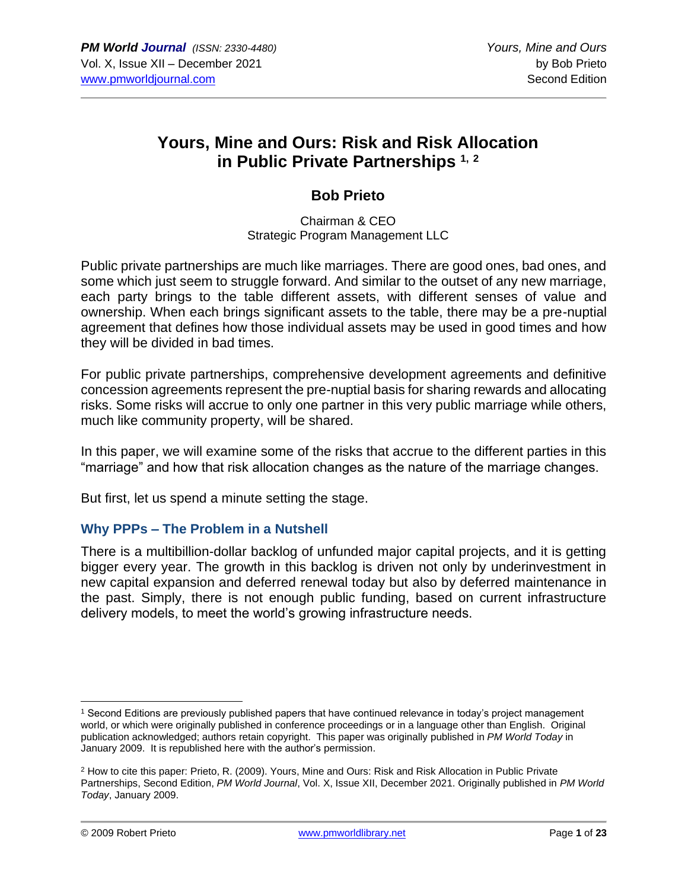# **Yours, Mine and Ours: Risk and Risk Allocation in Public Private Partnerships 1, <sup>2</sup>**

# **Bob Prieto**

Chairman & CEO Strategic Program Management LLC

Public private partnerships are much like marriages. There are good ones, bad ones, and some which just seem to struggle forward. And similar to the outset of any new marriage, each party brings to the table different assets, with different senses of value and ownership. When each brings significant assets to the table, there may be a pre-nuptial agreement that defines how those individual assets may be used in good times and how they will be divided in bad times.

For public private partnerships, comprehensive development agreements and definitive concession agreements represent the pre-nuptial basis for sharing rewards and allocating risks. Some risks will accrue to only one partner in this very public marriage while others, much like community property, will be shared.

In this paper, we will examine some of the risks that accrue to the different parties in this "marriage" and how that risk allocation changes as the nature of the marriage changes.

But first, let us spend a minute setting the stage.

# **Why PPPs – The Problem in a Nutshell**

There is a multibillion-dollar backlog of unfunded major capital projects, and it is getting bigger every year. The growth in this backlog is driven not only by underinvestment in new capital expansion and deferred renewal today but also by deferred maintenance in the past. Simply, there is not enough public funding, based on current infrastructure delivery models, to meet the world's growing infrastructure needs.

<sup>1</sup> Second Editions are previously published papers that have continued relevance in today's project management world, or which were originally published in conference proceedings or in a language other than English. Original publication acknowledged; authors retain copyright. This paper was originally published in *PM World Today* in January 2009. It is republished here with the author's permission.

<sup>2</sup> How to cite this paper: Prieto, R. (2009). Yours, Mine and Ours: Risk and Risk Allocation in Public Private Partnerships, Second Edition, *PM World Journal*, Vol. X, Issue XII, December 2021. Originally published in *PM World Today*, January 2009.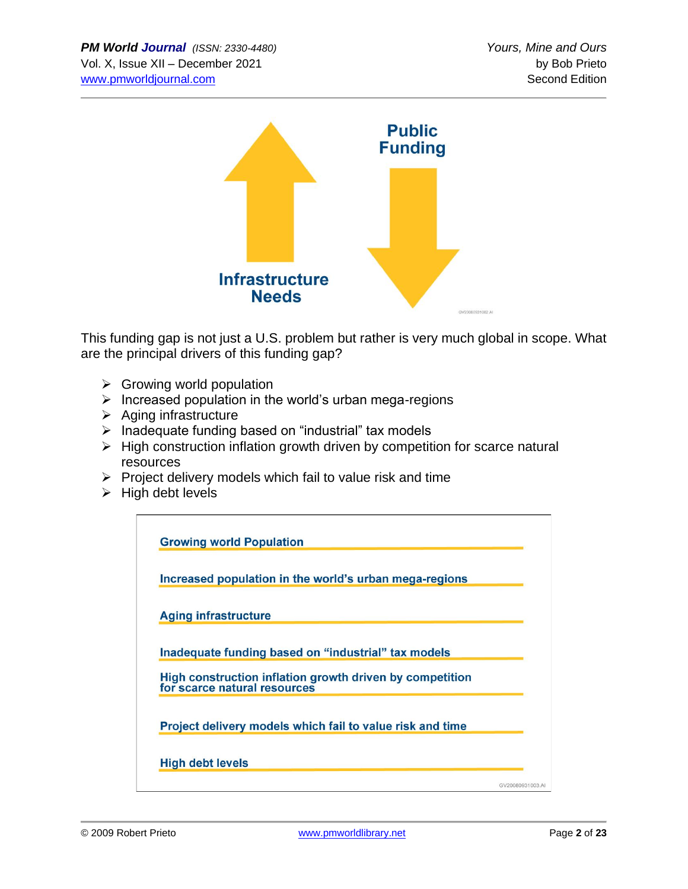

This funding gap is not just a U.S. problem but rather is very much global in scope. What are the principal drivers of this funding gap?

- $\triangleright$  Growing world population
- ➢ Increased population in the world's urban mega-regions
- ➢ Aging infrastructure
- ➢ Inadequate funding based on "industrial" tax models
- ➢ High construction inflation growth driven by competition for scarce natural resources
- $\triangleright$  Project delivery models which fail to value risk and time
- $\triangleright$  High debt levels

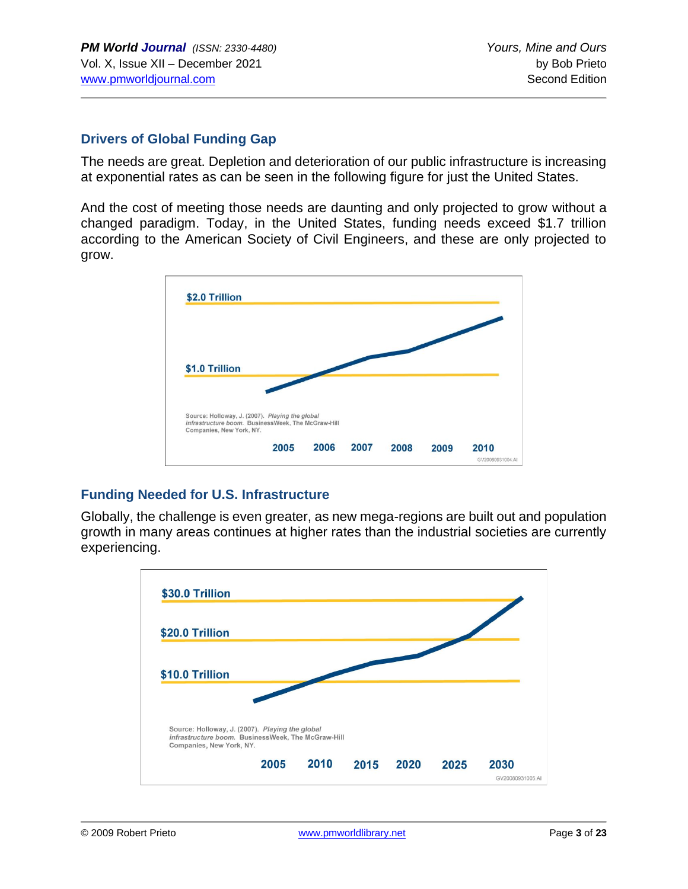### **Drivers of Global Funding Gap**

The needs are great. Depletion and deterioration of our public infrastructure is increasing at exponential rates as can be seen in the following figure for just the United States.

And the cost of meeting those needs are daunting and only projected to grow without a changed paradigm. Today, in the United States, funding needs exceed \$1.7 trillion according to the American Society of Civil Engineers, and these are only projected to grow.



# **Funding Needed for U.S. Infrastructure**

Globally, the challenge is even greater, as new mega-regions are built out and population growth in many areas continues at higher rates than the industrial societies are currently experiencing.

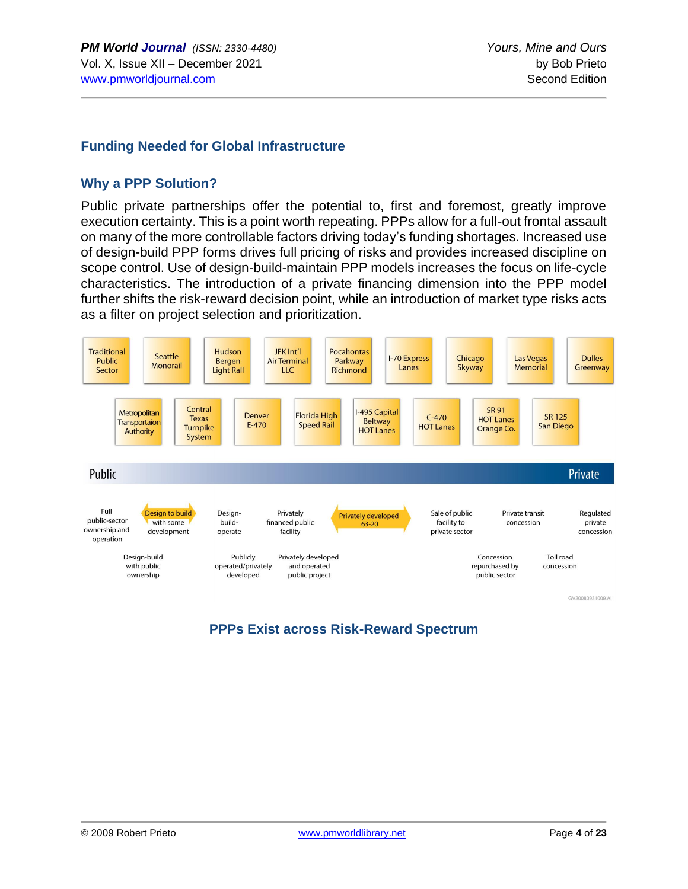#### **Funding Needed for Global Infrastructure**

#### **Why a PPP Solution?**

Public private partnerships offer the potential to, first and foremost, greatly improve execution certainty. This is a point worth repeating. PPPs allow for a full-out frontal assault on many of the more controllable factors driving today's funding shortages. Increased use of design-build PPP forms drives full pricing of risks and provides increased discipline on scope control. Use of design-build-maintain PPP models increases the focus on life-cycle characteristics. The introduction of a private financing dimension into the PPP model further shifts the risk-reward decision point, while an introduction of market type risks acts as a filter on project selection and prioritization.



GV20080931009.AI

# **PPPs Exist across Risk-Reward Spectrum**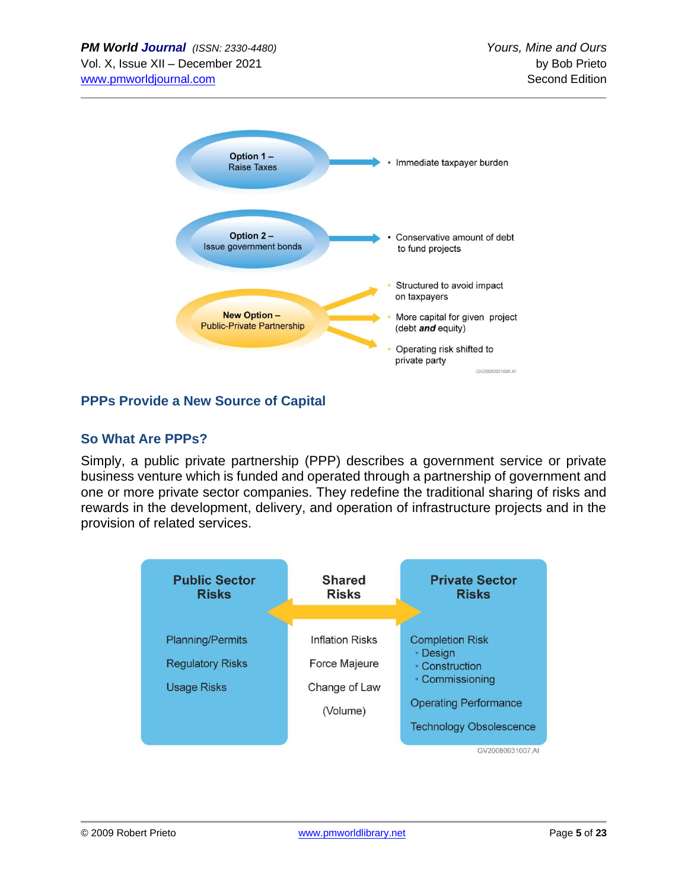

# **PPPs Provide a New Source of Capital**

# **So What Are PPPs?**

Simply, a public private partnership (PPP) describes a government service or private business venture which is funded and operated through a partnership of government and one or more private sector companies. They redefine the traditional sharing of risks and rewards in the development, delivery, and operation of infrastructure projects and in the provision of related services.

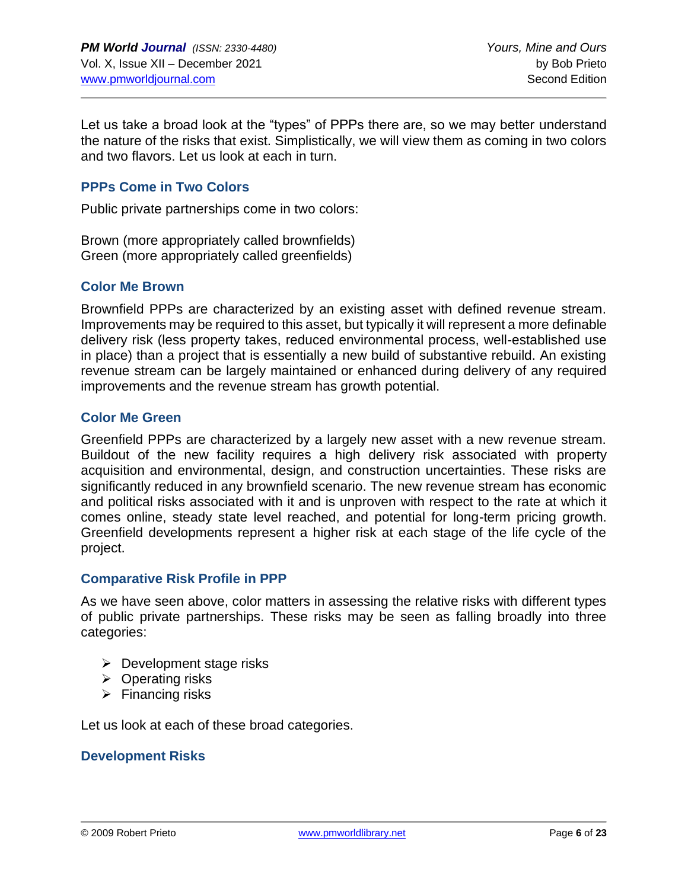Let us take a broad look at the "types" of PPPs there are, so we may better understand the nature of the risks that exist. Simplistically, we will view them as coming in two colors and two flavors. Let us look at each in turn.

### **PPPs Come in Two Colors**

Public private partnerships come in two colors:

Brown (more appropriately called brownfields) Green (more appropriately called greenfields)

#### **Color Me Brown**

Brownfield PPPs are characterized by an existing asset with defined revenue stream. Improvements may be required to this asset, but typically it will represent a more definable delivery risk (less property takes, reduced environmental process, well-established use in place) than a project that is essentially a new build of substantive rebuild. An existing revenue stream can be largely maintained or enhanced during delivery of any required improvements and the revenue stream has growth potential.

#### **Color Me Green**

Greenfield PPPs are characterized by a largely new asset with a new revenue stream. Buildout of the new facility requires a high delivery risk associated with property acquisition and environmental, design, and construction uncertainties. These risks are significantly reduced in any brownfield scenario. The new revenue stream has economic and political risks associated with it and is unproven with respect to the rate at which it comes online, steady state level reached, and potential for long-term pricing growth. Greenfield developments represent a higher risk at each stage of the life cycle of the project.

#### **Comparative Risk Profile in PPP**

As we have seen above, color matters in assessing the relative risks with different types of public private partnerships. These risks may be seen as falling broadly into three categories:

- $\triangleright$  Development stage risks
- ➢ Operating risks
- $\triangleright$  Financing risks

Let us look at each of these broad categories.

# **Development Risks**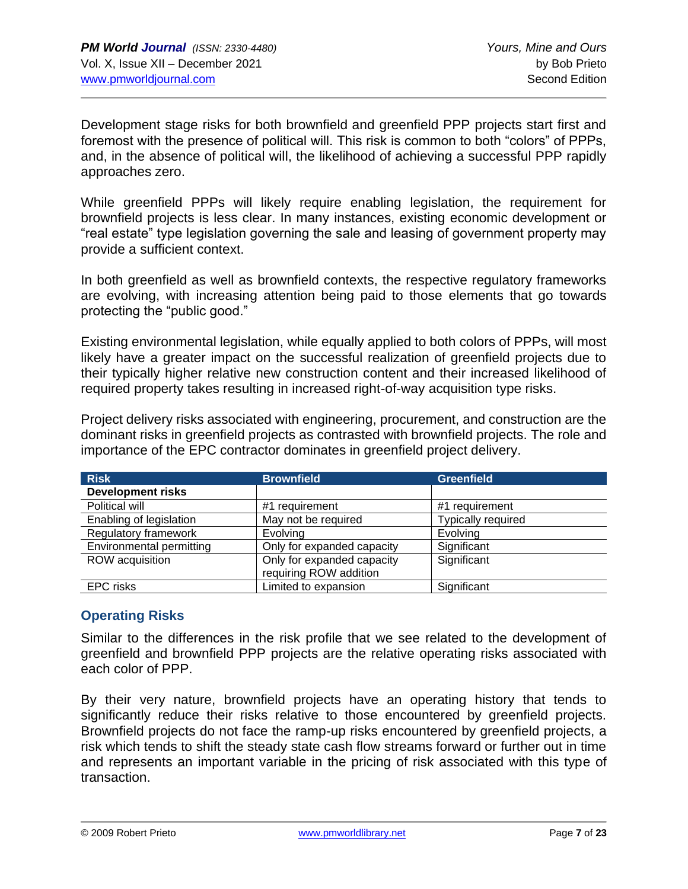Development stage risks for both brownfield and greenfield PPP projects start first and foremost with the presence of political will. This risk is common to both "colors" of PPPs, and, in the absence of political will, the likelihood of achieving a successful PPP rapidly approaches zero.

While greenfield PPPs will likely require enabling legislation, the requirement for brownfield projects is less clear. In many instances, existing economic development or "real estate" type legislation governing the sale and leasing of government property may provide a sufficient context.

In both greenfield as well as brownfield contexts, the respective regulatory frameworks are evolving, with increasing attention being paid to those elements that go towards protecting the "public good."

Existing environmental legislation, while equally applied to both colors of PPPs, will most likely have a greater impact on the successful realization of greenfield projects due to their typically higher relative new construction content and their increased likelihood of required property takes resulting in increased right-of-way acquisition type risks.

Project delivery risks associated with engineering, procurement, and construction are the dominant risks in greenfield projects as contrasted with brownfield projects. The role and importance of the EPC contractor dominates in greenfield project delivery.

| <b>Risk</b>              | <b>Brownfield</b>          | <b>Greenfield</b>  |
|--------------------------|----------------------------|--------------------|
| <b>Development risks</b> |                            |                    |
| Political will           | #1 requirement             | #1 requirement     |
| Enabling of legislation  | May not be required        | Typically required |
| Regulatory framework     | Evolving                   | Evolving           |
| Environmental permitting | Only for expanded capacity | Significant        |
| ROW acquisition          | Only for expanded capacity | Significant        |
|                          | requiring ROW addition     |                    |
| <b>EPC</b> risks         | Limited to expansion       | Significant        |

# **Operating Risks**

Similar to the differences in the risk profile that we see related to the development of greenfield and brownfield PPP projects are the relative operating risks associated with each color of PPP.

By their very nature, brownfield projects have an operating history that tends to significantly reduce their risks relative to those encountered by greenfield projects. Brownfield projects do not face the ramp-up risks encountered by greenfield projects, a risk which tends to shift the steady state cash flow streams forward or further out in time and represents an important variable in the pricing of risk associated with this type of transaction.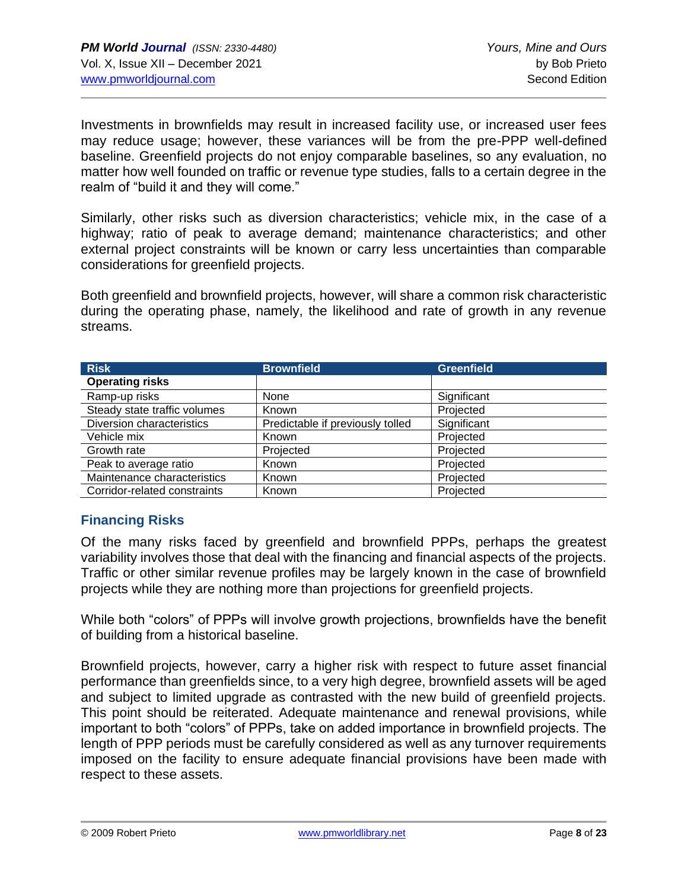Investments in brownfields may result in increased facility use, or increased user fees may reduce usage; however, these variances will be from the pre-PPP well-defined baseline. Greenfield projects do not enjoy comparable baselines, so any evaluation, no matter how well founded on traffic or revenue type studies, falls to a certain degree in the realm of "build it and they will come."

Similarly, other risks such as diversion characteristics; vehicle mix, in the case of a highway; ratio of peak to average demand; maintenance characteristics; and other external project constraints will be known or carry less uncertainties than comparable considerations for greenfield projects.

Both greenfield and brownfield projects, however, will share a common risk characteristic during the operating phase, namely, the likelihood and rate of growth in any revenue streams.

| <b>Risk</b>                  | <b>Brownfield</b>                | <b>Greenfield</b> |
|------------------------------|----------------------------------|-------------------|
| <b>Operating risks</b>       |                                  |                   |
| Ramp-up risks                | None                             | Significant       |
| Steady state traffic volumes | Known                            | Projected         |
| Diversion characteristics    | Predictable if previously tolled | Significant       |
| Vehicle mix                  | Known                            | Projected         |
| Growth rate                  | Projected                        | Projected         |
| Peak to average ratio        | Known                            | Projected         |
| Maintenance characteristics  | Known                            | Projected         |
| Corridor-related constraints | Known                            | Projected         |

# **Financing Risks**

Of the many risks faced by greenfield and brownfield PPPs, perhaps the greatest variability involves those that deal with the financing and financial aspects of the projects. Traffic or other similar revenue profiles may be largely known in the case of brownfield projects while they are nothing more than projections for greenfield projects.

While both "colors" of PPPs will involve growth projections, brownfields have the benefit of building from a historical baseline.

Brownfield projects, however, carry a higher risk with respect to future asset financial performance than greenfields since, to a very high degree, brownfield assets will be aged and subject to limited upgrade as contrasted with the new build of greenfield projects. This point should be reiterated. Adequate maintenance and renewal provisions, while important to both "colors" of PPPs, take on added importance in brownfield projects. The length of PPP periods must be carefully considered as well as any turnover requirements imposed on the facility to ensure adequate financial provisions have been made with respect to these assets.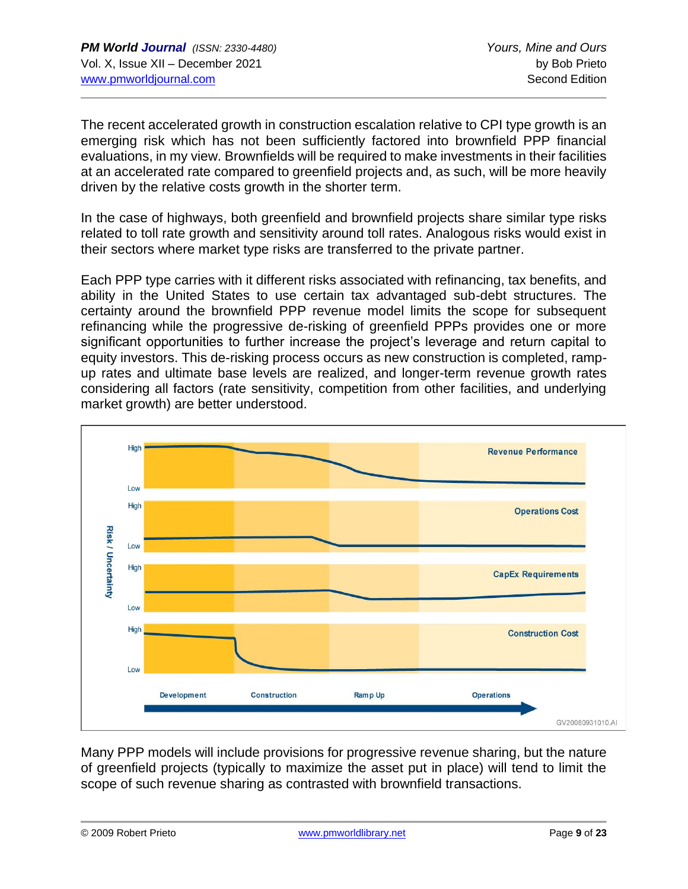The recent accelerated growth in construction escalation relative to CPI type growth is an emerging risk which has not been sufficiently factored into brownfield PPP financial evaluations, in my view. Brownfields will be required to make investments in their facilities at an accelerated rate compared to greenfield projects and, as such, will be more heavily driven by the relative costs growth in the shorter term.

In the case of highways, both greenfield and brownfield projects share similar type risks related to toll rate growth and sensitivity around toll rates. Analogous risks would exist in their sectors where market type risks are transferred to the private partner.

Each PPP type carries with it different risks associated with refinancing, tax benefits, and ability in the United States to use certain tax advantaged sub-debt structures. The certainty around the brownfield PPP revenue model limits the scope for subsequent refinancing while the progressive de-risking of greenfield PPPs provides one or more significant opportunities to further increase the project's leverage and return capital to equity investors. This de-risking process occurs as new construction is completed, rampup rates and ultimate base levels are realized, and longer-term revenue growth rates considering all factors (rate sensitivity, competition from other facilities, and underlying market growth) are better understood.



Many PPP models will include provisions for progressive revenue sharing, but the nature of greenfield projects (typically to maximize the asset put in place) will tend to limit the scope of such revenue sharing as contrasted with brownfield transactions.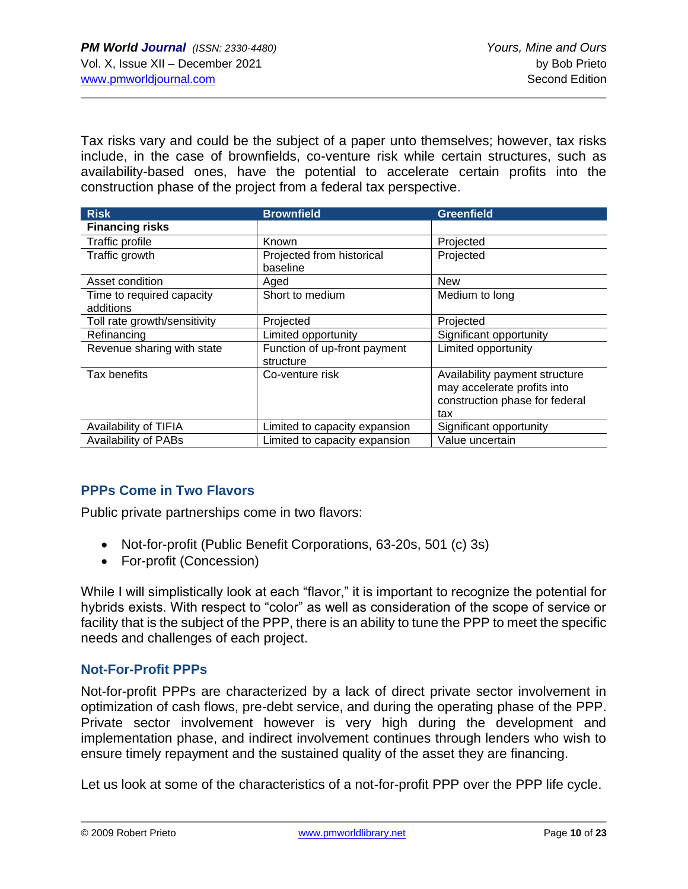Tax risks vary and could be the subject of a paper unto themselves; however, tax risks include, in the case of brownfields, co-venture risk while certain structures, such as availability-based ones, have the potential to accelerate certain profits into the construction phase of the project from a federal tax perspective.

| <b>Risk</b>                  | <b>Brownfield</b>             | <b>Greenfield</b>              |
|------------------------------|-------------------------------|--------------------------------|
| <b>Financing risks</b>       |                               |                                |
| Traffic profile              | Known                         | Projected                      |
| Traffic growth               | Projected from historical     | Projected                      |
|                              | baseline                      |                                |
| Asset condition              | Aged                          | <b>New</b>                     |
| Time to required capacity    | Short to medium               | Medium to long                 |
| additions                    |                               |                                |
| Toll rate growth/sensitivity | Projected                     | Projected                      |
| Refinancing                  | Limited opportunity           | Significant opportunity        |
| Revenue sharing with state   | Function of up-front payment  | Limited opportunity            |
|                              | structure                     |                                |
| Tax benefits                 | Co-venture risk               | Availability payment structure |
|                              |                               | may accelerate profits into    |
|                              |                               | construction phase for federal |
|                              |                               | tax                            |
| Availability of TIFIA        | Limited to capacity expansion | Significant opportunity        |
| <b>Availability of PABs</b>  | Limited to capacity expansion | Value uncertain                |

# **PPPs Come in Two Flavors**

Public private partnerships come in two flavors:

- Not-for-profit (Public Benefit Corporations, 63-20s, 501 (c) 3s)
- For-profit (Concession)

While I will simplistically look at each "flavor," it is important to recognize the potential for hybrids exists. With respect to "color" as well as consideration of the scope of service or facility that is the subject of the PPP, there is an ability to tune the PPP to meet the specific needs and challenges of each project.

# **Not-For-Profit PPPs**

Not-for-profit PPPs are characterized by a lack of direct private sector involvement in optimization of cash flows, pre-debt service, and during the operating phase of the PPP. Private sector involvement however is very high during the development and implementation phase, and indirect involvement continues through lenders who wish to ensure timely repayment and the sustained quality of the asset they are financing.

Let us look at some of the characteristics of a not-for-profit PPP over the PPP life cycle.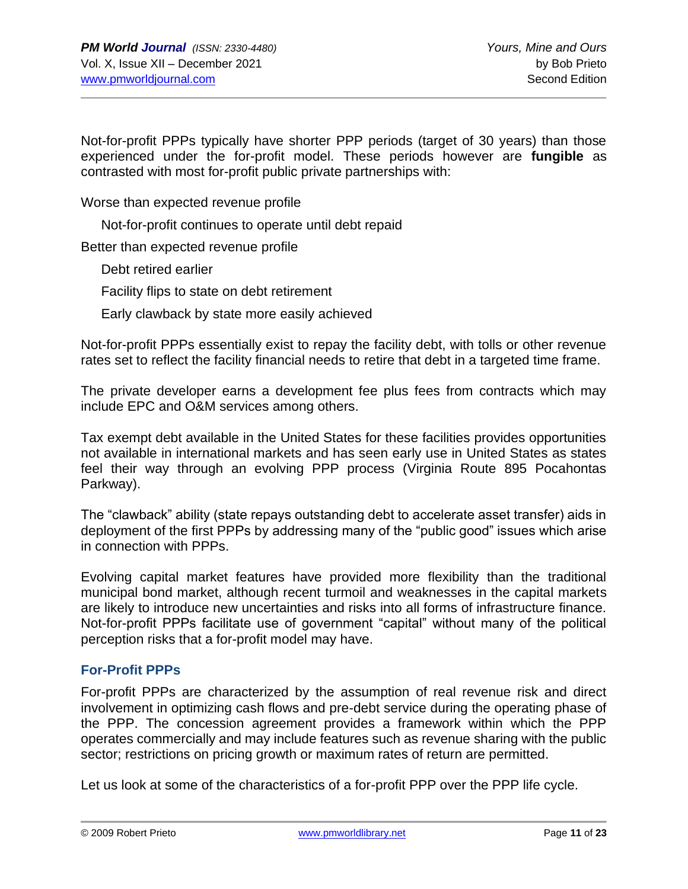Not-for-profit PPPs typically have shorter PPP periods (target of 30 years) than those experienced under the for-profit model. These periods however are **fungible** as contrasted with most for-profit public private partnerships with:

Worse than expected revenue profile

Not-for-profit continues to operate until debt repaid

Better than expected revenue profile

Debt retired earlier

Facility flips to state on debt retirement

Early clawback by state more easily achieved

Not-for-profit PPPs essentially exist to repay the facility debt, with tolls or other revenue rates set to reflect the facility financial needs to retire that debt in a targeted time frame.

The private developer earns a development fee plus fees from contracts which may include EPC and O&M services among others.

Tax exempt debt available in the United States for these facilities provides opportunities not available in international markets and has seen early use in United States as states feel their way through an evolving PPP process (Virginia Route 895 Pocahontas Parkway).

The "clawback" ability (state repays outstanding debt to accelerate asset transfer) aids in deployment of the first PPPs by addressing many of the "public good" issues which arise in connection with PPPs.

Evolving capital market features have provided more flexibility than the traditional municipal bond market, although recent turmoil and weaknesses in the capital markets are likely to introduce new uncertainties and risks into all forms of infrastructure finance. Not-for-profit PPPs facilitate use of government "capital" without many of the political perception risks that a for-profit model may have.

#### **For-Profit PPPs**

For-profit PPPs are characterized by the assumption of real revenue risk and direct involvement in optimizing cash flows and pre-debt service during the operating phase of the PPP. The concession agreement provides a framework within which the PPP operates commercially and may include features such as revenue sharing with the public sector; restrictions on pricing growth or maximum rates of return are permitted.

Let us look at some of the characteristics of a for-profit PPP over the PPP life cycle.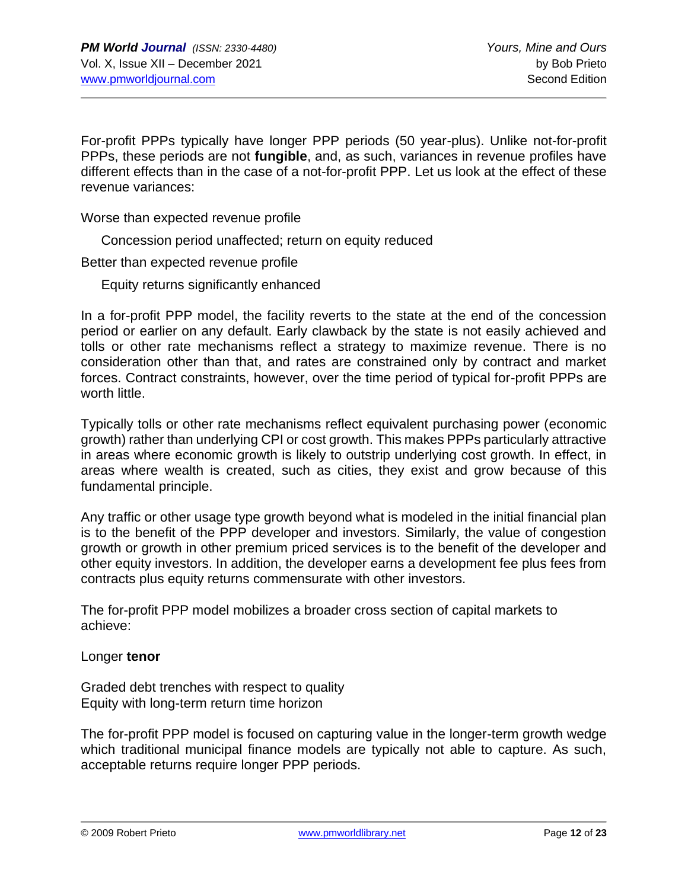For-profit PPPs typically have longer PPP periods (50 year-plus). Unlike not-for-profit PPPs, these periods are not **fungible**, and, as such, variances in revenue profiles have different effects than in the case of a not-for-profit PPP. Let us look at the effect of these revenue variances:

Worse than expected revenue profile

Concession period unaffected; return on equity reduced

Better than expected revenue profile

Equity returns significantly enhanced

In a for-profit PPP model, the facility reverts to the state at the end of the concession period or earlier on any default. Early clawback by the state is not easily achieved and tolls or other rate mechanisms reflect a strategy to maximize revenue. There is no consideration other than that, and rates are constrained only by contract and market forces. Contract constraints, however, over the time period of typical for-profit PPPs are worth little.

Typically tolls or other rate mechanisms reflect equivalent purchasing power (economic growth) rather than underlying CPI or cost growth. This makes PPPs particularly attractive in areas where economic growth is likely to outstrip underlying cost growth. In effect, in areas where wealth is created, such as cities, they exist and grow because of this fundamental principle.

Any traffic or other usage type growth beyond what is modeled in the initial financial plan is to the benefit of the PPP developer and investors. Similarly, the value of congestion growth or growth in other premium priced services is to the benefit of the developer and other equity investors. In addition, the developer earns a development fee plus fees from contracts plus equity returns commensurate with other investors.

The for-profit PPP model mobilizes a broader cross section of capital markets to achieve:

Longer **tenor**

Graded debt trenches with respect to quality Equity with long-term return time horizon

The for-profit PPP model is focused on capturing value in the longer-term growth wedge which traditional municipal finance models are typically not able to capture. As such, acceptable returns require longer PPP periods.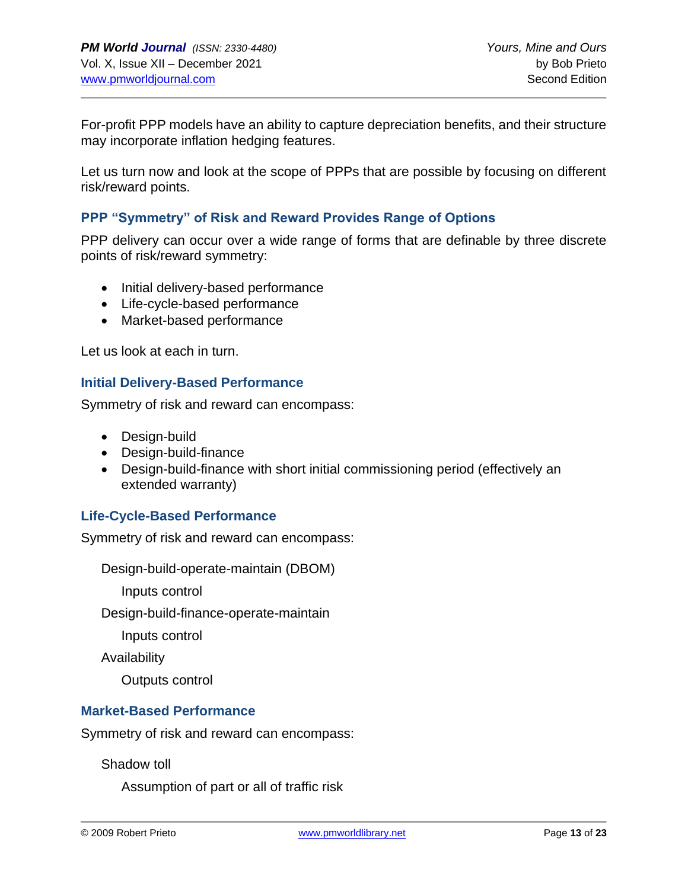For-profit PPP models have an ability to capture depreciation benefits, and their structure may incorporate inflation hedging features.

Let us turn now and look at the scope of PPPs that are possible by focusing on different risk/reward points.

#### **PPP "Symmetry" of Risk and Reward Provides Range of Options**

PPP delivery can occur over a wide range of forms that are definable by three discrete points of risk/reward symmetry:

- Initial delivery-based performance
- Life-cycle-based performance
- Market-based performance

Let us look at each in turn.

#### **Initial Delivery-Based Performance**

Symmetry of risk and reward can encompass:

- Design-build
- Design-build-finance
- Design-build-finance with short initial commissioning period (effectively an extended warranty)

#### **Life-Cycle-Based Performance**

Symmetry of risk and reward can encompass:

Design-build-operate-maintain (DBOM)

Inputs control

Design-build-finance-operate-maintain

Inputs control

Availability

Outputs control

#### **Market-Based Performance**

Symmetry of risk and reward can encompass:

Shadow toll

Assumption of part or all of traffic risk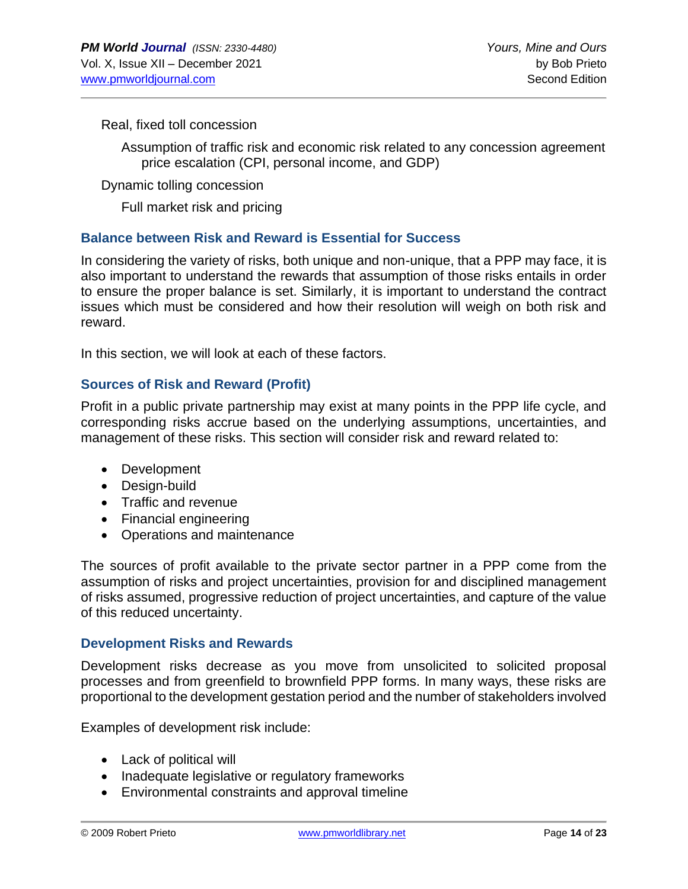#### Real, fixed toll concession

Assumption of traffic risk and economic risk related to any concession agreement price escalation (CPI, personal income, and GDP)

Dynamic tolling concession

Full market risk and pricing

#### **Balance between Risk and Reward is Essential for Success**

In considering the variety of risks, both unique and non-unique, that a PPP may face, it is also important to understand the rewards that assumption of those risks entails in order to ensure the proper balance is set. Similarly, it is important to understand the contract issues which must be considered and how their resolution will weigh on both risk and reward.

In this section, we will look at each of these factors.

# **Sources of Risk and Reward (Profit)**

Profit in a public private partnership may exist at many points in the PPP life cycle, and corresponding risks accrue based on the underlying assumptions, uncertainties, and management of these risks. This section will consider risk and reward related to:

- Development
- Design-build
- Traffic and revenue
- Financial engineering
- Operations and maintenance

The sources of profit available to the private sector partner in a PPP come from the assumption of risks and project uncertainties, provision for and disciplined management of risks assumed, progressive reduction of project uncertainties, and capture of the value of this reduced uncertainty.

#### **Development Risks and Rewards**

Development risks decrease as you move from unsolicited to solicited proposal processes and from greenfield to brownfield PPP forms. In many ways, these risks are proportional to the development gestation period and the number of stakeholders involved

Examples of development risk include:

- Lack of political will
- Inadequate legislative or regulatory frameworks
- Environmental constraints and approval timeline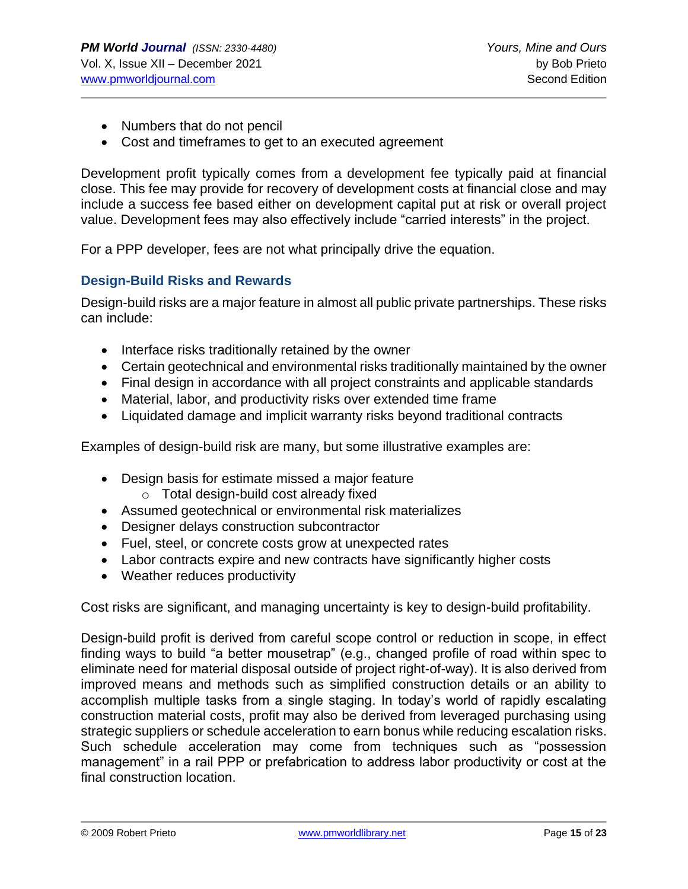- Numbers that do not pencil
- Cost and timeframes to get to an executed agreement

Development profit typically comes from a development fee typically paid at financial close. This fee may provide for recovery of development costs at financial close and may include a success fee based either on development capital put at risk or overall project value. Development fees may also effectively include "carried interests" in the project.

For a PPP developer, fees are not what principally drive the equation.

#### **Design-Build Risks and Rewards**

Design-build risks are a major feature in almost all public private partnerships. These risks can include:

- Interface risks traditionally retained by the owner
- Certain geotechnical and environmental risks traditionally maintained by the owner
- Final design in accordance with all project constraints and applicable standards
- Material, labor, and productivity risks over extended time frame
- Liquidated damage and implicit warranty risks beyond traditional contracts

Examples of design-build risk are many, but some illustrative examples are:

• Design basis for estimate missed a major feature

o Total design-build cost already fixed

- Assumed geotechnical or environmental risk materializes
- Designer delays construction subcontractor
- Fuel, steel, or concrete costs grow at unexpected rates
- Labor contracts expire and new contracts have significantly higher costs
- Weather reduces productivity

Cost risks are significant, and managing uncertainty is key to design-build profitability.

Design-build profit is derived from careful scope control or reduction in scope, in effect finding ways to build "a better mousetrap" (e.g., changed profile of road within spec to eliminate need for material disposal outside of project right-of-way). It is also derived from improved means and methods such as simplified construction details or an ability to accomplish multiple tasks from a single staging. In today's world of rapidly escalating construction material costs, profit may also be derived from leveraged purchasing using strategic suppliers or schedule acceleration to earn bonus while reducing escalation risks. Such schedule acceleration may come from techniques such as "possession management" in a rail PPP or prefabrication to address labor productivity or cost at the final construction location.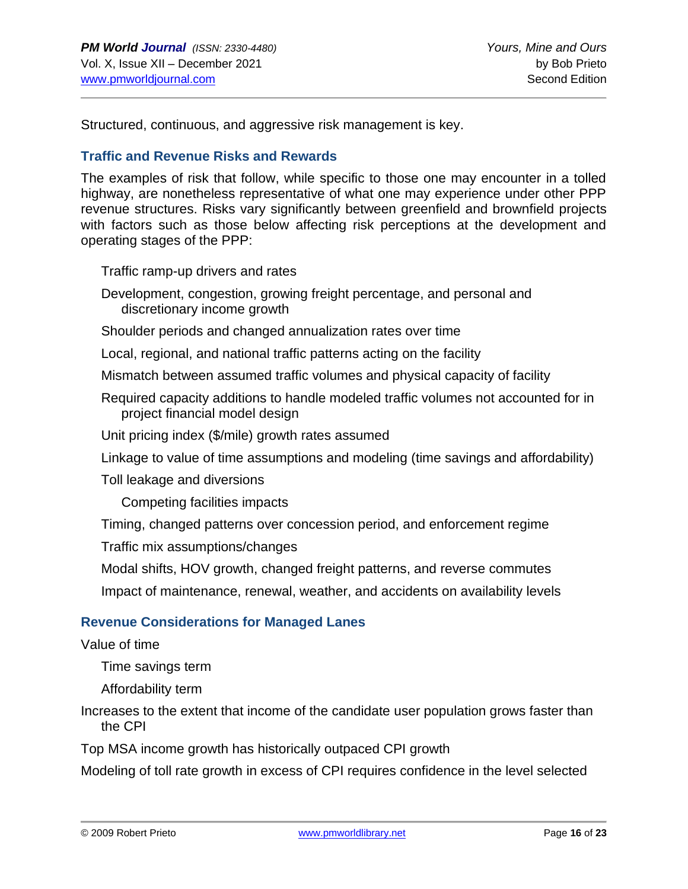Structured, continuous, and aggressive risk management is key.

#### **Traffic and Revenue Risks and Rewards**

The examples of risk that follow, while specific to those one may encounter in a tolled highway, are nonetheless representative of what one may experience under other PPP revenue structures. Risks vary significantly between greenfield and brownfield projects with factors such as those below affecting risk perceptions at the development and operating stages of the PPP:

Traffic ramp-up drivers and rates

Development, congestion, growing freight percentage, and personal and discretionary income growth

Shoulder periods and changed annualization rates over time

Local, regional, and national traffic patterns acting on the facility

Mismatch between assumed traffic volumes and physical capacity of facility

Required capacity additions to handle modeled traffic volumes not accounted for in project financial model design

Unit pricing index (\$/mile) growth rates assumed

Linkage to value of time assumptions and modeling (time savings and affordability)

Toll leakage and diversions

Competing facilities impacts

Timing, changed patterns over concession period, and enforcement regime

Traffic mix assumptions/changes

Modal shifts, HOV growth, changed freight patterns, and reverse commutes

Impact of maintenance, renewal, weather, and accidents on availability levels

#### **Revenue Considerations for Managed Lanes**

Value of time

Time savings term

Affordability term

Increases to the extent that income of the candidate user population grows faster than the CPI

Top MSA income growth has historically outpaced CPI growth

Modeling of toll rate growth in excess of CPI requires confidence in the level selected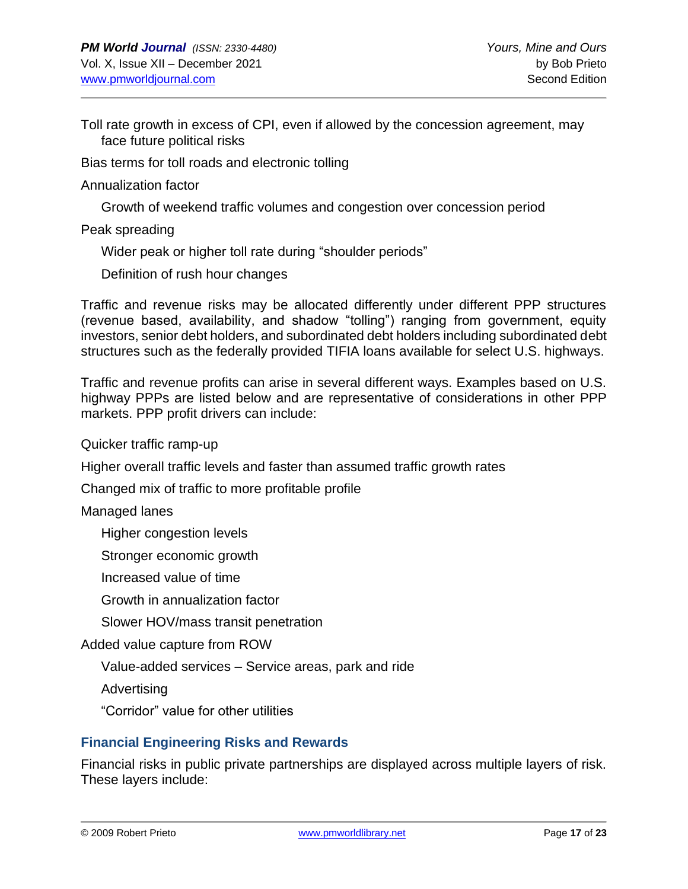Toll rate growth in excess of CPI, even if allowed by the concession agreement, may face future political risks

Bias terms for toll roads and electronic tolling

Annualization factor

Growth of weekend traffic volumes and congestion over concession period

Peak spreading

Wider peak or higher toll rate during "shoulder periods"

Definition of rush hour changes

Traffic and revenue risks may be allocated differently under different PPP structures (revenue based, availability, and shadow "tolling") ranging from government, equity investors, senior debt holders, and subordinated debt holders including subordinated debt structures such as the federally provided TIFIA loans available for select U.S. highways.

Traffic and revenue profits can arise in several different ways. Examples based on U.S. highway PPPs are listed below and are representative of considerations in other PPP markets. PPP profit drivers can include:

Quicker traffic ramp-up

Higher overall traffic levels and faster than assumed traffic growth rates

Changed mix of traffic to more profitable profile

Managed lanes

Higher congestion levels

Stronger economic growth

Increased value of time

Growth in annualization factor

Slower HOV/mass transit penetration

Added value capture from ROW

Value-added services – Service areas, park and ride

Advertising

"Corridor" value for other utilities

#### **Financial Engineering Risks and Rewards**

Financial risks in public private partnerships are displayed across multiple layers of risk. These layers include: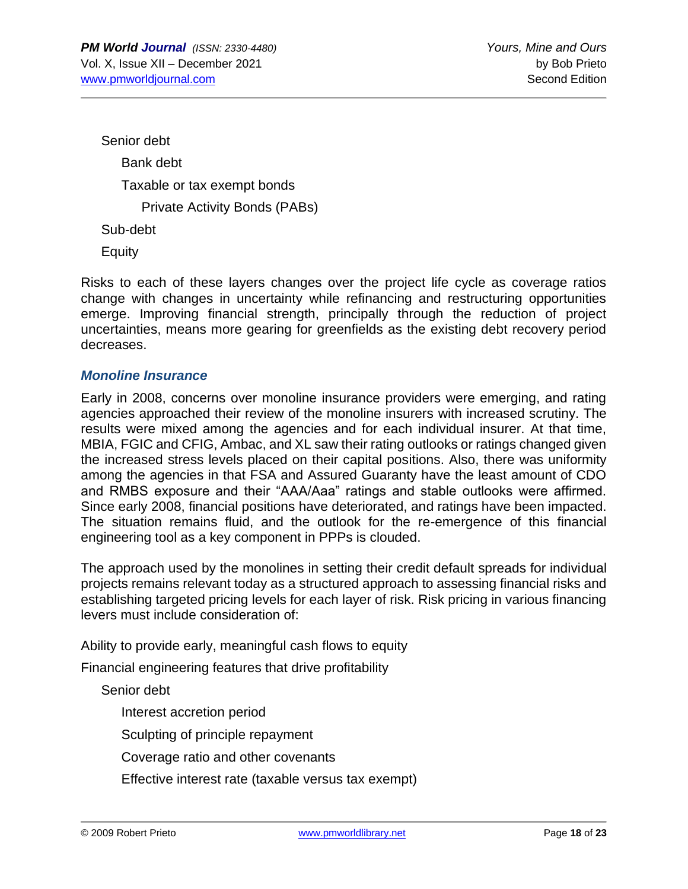Senior debt Bank debt Taxable or tax exempt bonds Private Activity Bonds (PABs) Sub-debt **Equity** 

Risks to each of these layers changes over the project life cycle as coverage ratios change with changes in uncertainty while refinancing and restructuring opportunities emerge. Improving financial strength, principally through the reduction of project uncertainties, means more gearing for greenfields as the existing debt recovery period decreases.

#### *Monoline Insurance*

Early in 2008, concerns over monoline insurance providers were emerging, and rating agencies approached their review of the monoline insurers with increased scrutiny. The results were mixed among the agencies and for each individual insurer. At that time, MBIA, FGIC and CFIG, Ambac, and XL saw their rating outlooks or ratings changed given the increased stress levels placed on their capital positions. Also, there was uniformity among the agencies in that FSA and Assured Guaranty have the least amount of CDO and RMBS exposure and their "AAA/Aaa" ratings and stable outlooks were affirmed. Since early 2008, financial positions have deteriorated, and ratings have been impacted. The situation remains fluid, and the outlook for the re-emergence of this financial engineering tool as a key component in PPPs is clouded.

The approach used by the monolines in setting their credit default spreads for individual projects remains relevant today as a structured approach to assessing financial risks and establishing targeted pricing levels for each layer of risk. Risk pricing in various financing levers must include consideration of:

Ability to provide early, meaningful cash flows to equity

Financial engineering features that drive profitability

Senior debt

Interest accretion period

Sculpting of principle repayment

Coverage ratio and other covenants

Effective interest rate (taxable versus tax exempt)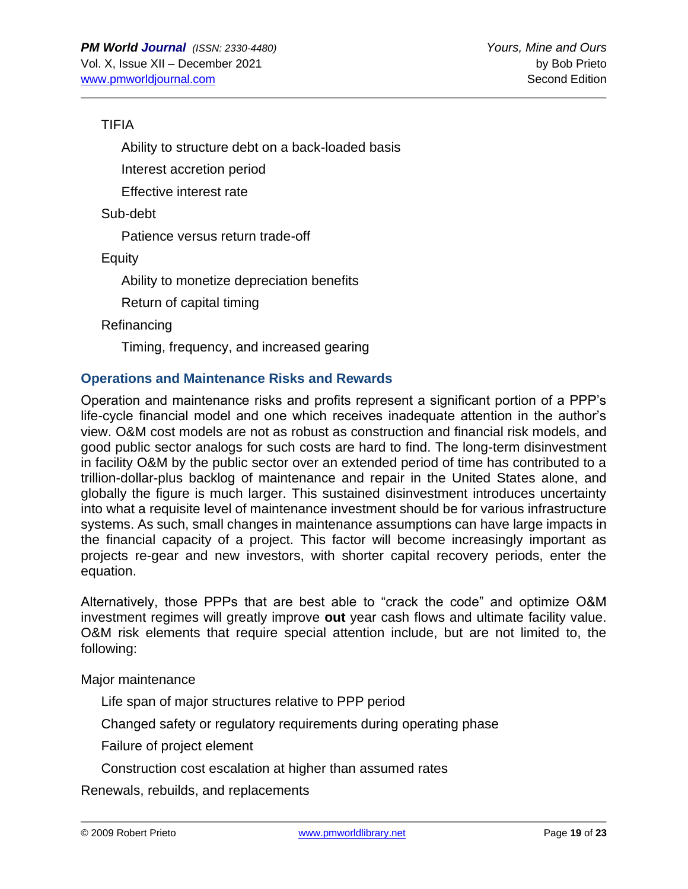# TIFIA

Ability to structure debt on a back-loaded basis

Interest accretion period

Effective interest rate

Sub-debt

Patience versus return trade-off

**Equity** 

Ability to monetize depreciation benefits

Return of capital timing

Refinancing

Timing, frequency, and increased gearing

# **Operations and Maintenance Risks and Rewards**

Operation and maintenance risks and profits represent a significant portion of a PPP's life-cycle financial model and one which receives inadequate attention in the author's view. O&M cost models are not as robust as construction and financial risk models, and good public sector analogs for such costs are hard to find. The long-term disinvestment in facility O&M by the public sector over an extended period of time has contributed to a trillion-dollar-plus backlog of maintenance and repair in the United States alone, and globally the figure is much larger. This sustained disinvestment introduces uncertainty into what a requisite level of maintenance investment should be for various infrastructure systems. As such, small changes in maintenance assumptions can have large impacts in the financial capacity of a project. This factor will become increasingly important as projects re-gear and new investors, with shorter capital recovery periods, enter the equation.

Alternatively, those PPPs that are best able to "crack the code" and optimize O&M investment regimes will greatly improve **out** year cash flows and ultimate facility value. O&M risk elements that require special attention include, but are not limited to, the following:

Major maintenance

Life span of major structures relative to PPP period

Changed safety or regulatory requirements during operating phase

Failure of project element

Construction cost escalation at higher than assumed rates

Renewals, rebuilds, and replacements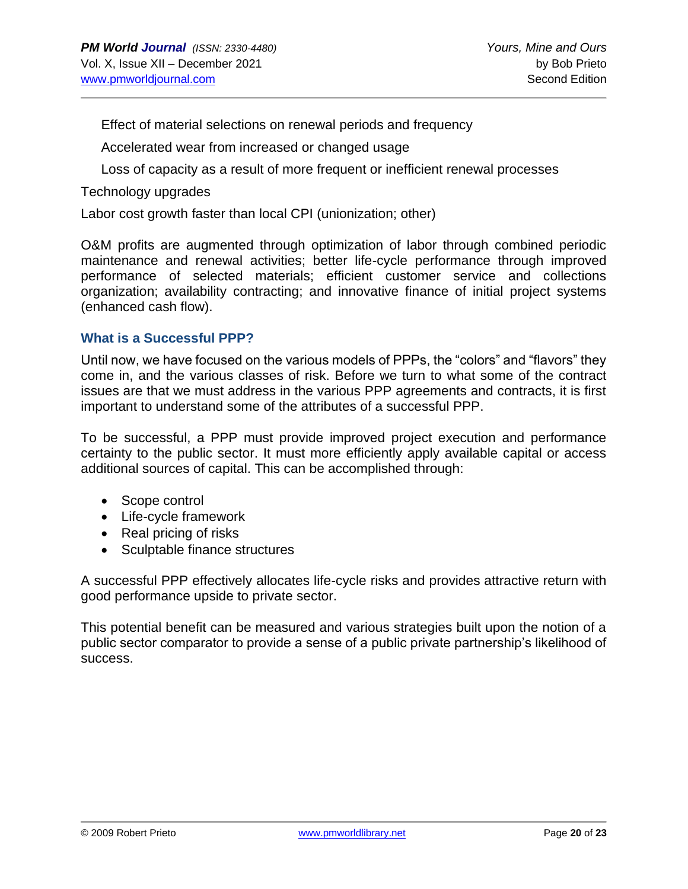Effect of material selections on renewal periods and frequency

Accelerated wear from increased or changed usage

Loss of capacity as a result of more frequent or inefficient renewal processes

Technology upgrades

Labor cost growth faster than local CPI (unionization; other)

O&M profits are augmented through optimization of labor through combined periodic maintenance and renewal activities; better life-cycle performance through improved performance of selected materials; efficient customer service and collections organization; availability contracting; and innovative finance of initial project systems (enhanced cash flow).

#### **What is a Successful PPP?**

Until now, we have focused on the various models of PPPs, the "colors" and "flavors" they come in, and the various classes of risk. Before we turn to what some of the contract issues are that we must address in the various PPP agreements and contracts, it is first important to understand some of the attributes of a successful PPP.

To be successful, a PPP must provide improved project execution and performance certainty to the public sector. It must more efficiently apply available capital or access additional sources of capital. This can be accomplished through:

- Scope control
- Life-cycle framework
- Real pricing of risks
- Sculptable finance structures

A successful PPP effectively allocates life-cycle risks and provides attractive return with good performance upside to private sector.

This potential benefit can be measured and various strategies built upon the notion of a public sector comparator to provide a sense of a public private partnership's likelihood of success.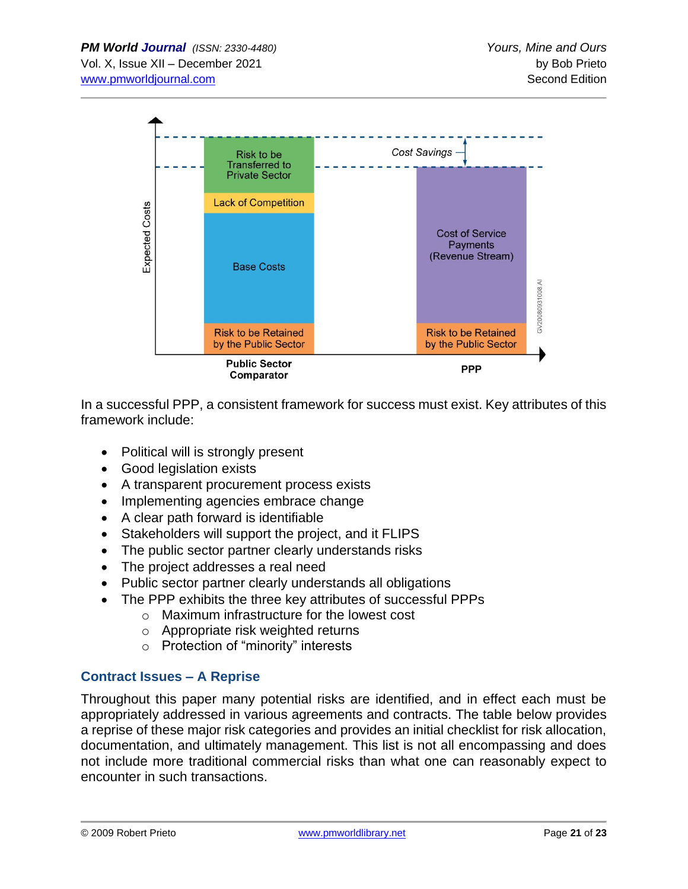

In a successful PPP, a consistent framework for success must exist. Key attributes of this framework include:

- Political will is strongly present
- Good legislation exists
- A transparent procurement process exists
- Implementing agencies embrace change
- A clear path forward is identifiable
- Stakeholders will support the project, and it FLIPS
- The public sector partner clearly understands risks
- The project addresses a real need
- Public sector partner clearly understands all obligations
- The PPP exhibits the three key attributes of successful PPPs
	- o Maximum infrastructure for the lowest cost
	- o Appropriate risk weighted returns
	- o Protection of "minority" interests

# **Contract Issues – A Reprise**

Throughout this paper many potential risks are identified, and in effect each must be appropriately addressed in various agreements and contracts. The table below provides a reprise of these major risk categories and provides an initial checklist for risk allocation, documentation, and ultimately management. This list is not all encompassing and does not include more traditional commercial risks than what one can reasonably expect to encounter in such transactions.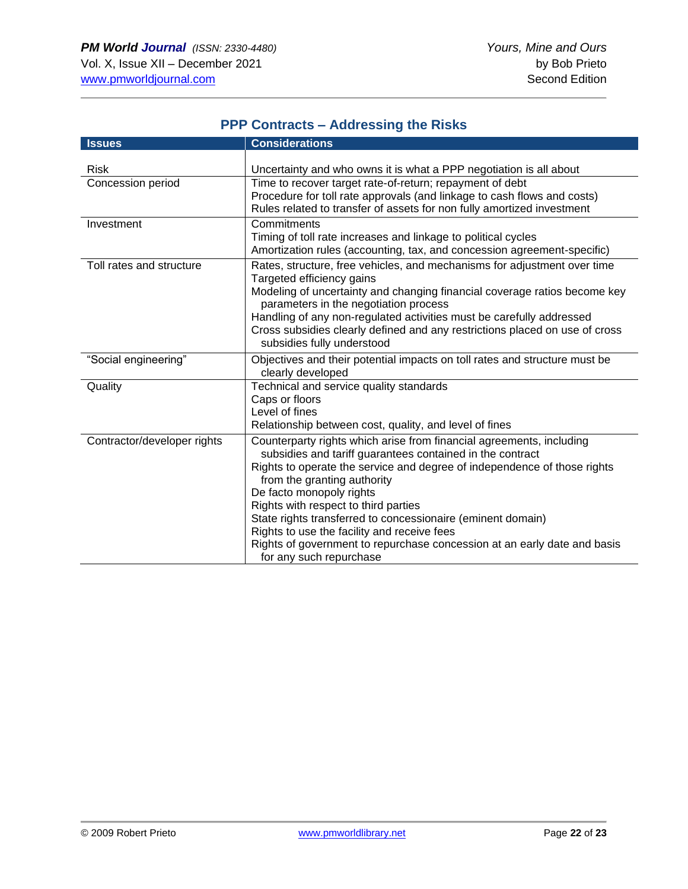| <b>PPP Contracts - Addressing the Risks</b> |                                                                                                                                                                                                                                                                                                                                                                                                                                                                                                                                       |  |
|---------------------------------------------|---------------------------------------------------------------------------------------------------------------------------------------------------------------------------------------------------------------------------------------------------------------------------------------------------------------------------------------------------------------------------------------------------------------------------------------------------------------------------------------------------------------------------------------|--|
| <b>Issues</b>                               | <b>Considerations</b>                                                                                                                                                                                                                                                                                                                                                                                                                                                                                                                 |  |
| <b>Risk</b><br>Concession period            | Uncertainty and who owns it is what a PPP negotiation is all about<br>Time to recover target rate-of-return; repayment of debt<br>Procedure for toll rate approvals (and linkage to cash flows and costs)<br>Rules related to transfer of assets for non fully amortized investment                                                                                                                                                                                                                                                   |  |
| Investment                                  | Commitments<br>Timing of toll rate increases and linkage to political cycles<br>Amortization rules (accounting, tax, and concession agreement-specific)                                                                                                                                                                                                                                                                                                                                                                               |  |
| Toll rates and structure                    | Rates, structure, free vehicles, and mechanisms for adjustment over time<br>Targeted efficiency gains<br>Modeling of uncertainty and changing financial coverage ratios become key<br>parameters in the negotiation process<br>Handling of any non-regulated activities must be carefully addressed<br>Cross subsidies clearly defined and any restrictions placed on use of cross<br>subsidies fully understood                                                                                                                      |  |
| "Social engineering"                        | Objectives and their potential impacts on toll rates and structure must be<br>clearly developed                                                                                                                                                                                                                                                                                                                                                                                                                                       |  |
| Quality                                     | Technical and service quality standards<br>Caps or floors<br>Level of fines<br>Relationship between cost, quality, and level of fines                                                                                                                                                                                                                                                                                                                                                                                                 |  |
| Contractor/developer rights                 | Counterparty rights which arise from financial agreements, including<br>subsidies and tariff guarantees contained in the contract<br>Rights to operate the service and degree of independence of those rights<br>from the granting authority<br>De facto monopoly rights<br>Rights with respect to third parties<br>State rights transferred to concessionaire (eminent domain)<br>Rights to use the facility and receive fees<br>Rights of government to repurchase concession at an early date and basis<br>for any such repurchase |  |